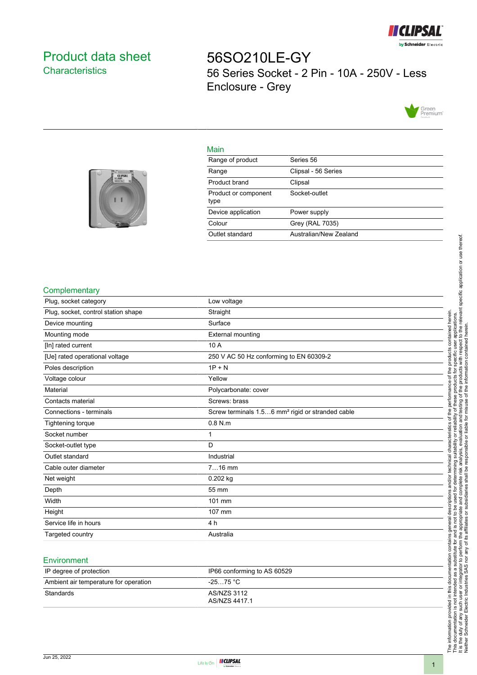

# <span id="page-0-0"></span>Product data sheet **Characteristics**

56SO210LE-GY 56 Series Socket - 2 Pin - 10A - 250V - Less Enclosure - Grey



### Main

| <b>STRINGERIE</b><br><b>CLIPSAL</b> |  |
|-------------------------------------|--|
|                                     |  |
|                                     |  |

| Range of product             | Series 56              |
|------------------------------|------------------------|
| Range                        | Clipsal - 56 Series    |
| Product brand                | Clipsal                |
| Product or component<br>type | Socket-outlet          |
| Device application           | Power supply           |
| Colour                       | Grey (RAL 7035)        |
| Outlet standard              | Australian/New Zealand |
|                              |                        |

#### **Complementary**

| Plug, socket category               | Low voltage                                                  |
|-------------------------------------|--------------------------------------------------------------|
| Plug, socket, control station shape | Straight                                                     |
| Device mounting                     | Surface                                                      |
| Mounting mode                       | <b>External mounting</b>                                     |
| [In] rated current                  | 10 A                                                         |
| [Ue] rated operational voltage      | 250 V AC 50 Hz conforming to EN 60309-2                      |
| Poles description                   | $1P + N$                                                     |
| Voltage colour                      | Yellow                                                       |
| Material                            | Polycarbonate: cover                                         |
| Contacts material                   | Screws: brass                                                |
| Connections - terminals             | Screw terminals 1.56 mm <sup>2</sup> rigid or stranded cable |
| <b>Tightening torque</b>            | $0.8$ N.m                                                    |
| Socket number                       |                                                              |
| Socket-outlet type                  | D                                                            |
| Outlet standard                     | Industrial                                                   |
| Cable outer diameter                | $716$ mm                                                     |
| Net weight                          | $0.202$ kg                                                   |
| Depth                               | 55 mm                                                        |
| Width                               | 101 mm                                                       |
| Height                              | 107 mm                                                       |
| Service life in hours               | 4 h                                                          |
| Targeted country                    | Australia                                                    |
|                                     |                                                              |

#### **Environment**

| IP degree of protection               | IP66 conforming to AS 60529  |
|---------------------------------------|------------------------------|
| Ambient air temperature for operation | $-2575 °C$                   |
| Standards                             | AS/NZS 3112<br>AS/NZS 4417.1 |